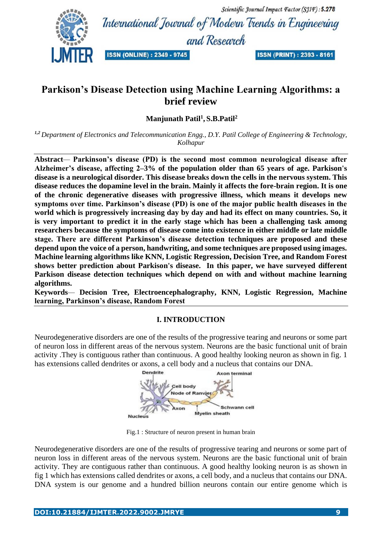Scientific Journal Impact Factor (SJIF): 5.278 International Journal of Modern Trends in Engineering and Research

### **ISSN (ONLINE): 2349 - 9745**

**ISSN (PRINT): 2393 - 8161** 

# **Parkison's Disease Detection using Machine Learning Algorithms: a brief review**

**Manjunath Patil<sup>1</sup> , S.B.Patil<sup>2</sup>**

*1,2 Department of Electronics and Telecommunication Engg., D.Y. Patil College of Engineering & Technology, Kolhapur*

**Abstract***—* **Parkinson's disease (PD) is the second most common neurological disease after Alzheimer's disease, affecting 2–3% of the population older than 65 years of age. Parkison's disease is a neurological disorder. This disease breaks down the cells in the nervous system. This disease reduces the dopamine level in the brain. Mainly it affects the fore-brain region. It is one of the chronic degenerative diseases with progressive illness, which means it develops new symptoms over time. Parkinson's disease (PD) is one of the major public health diseases in the world which is progressively increasing day by day and had its effect on many countries. So, it is very important to predict it in the early stage which has been a challenging task among researchers because the symptoms of disease come into existence in either middle or late middle stage. There are different Parkinson's disease detection techniques are proposed and these depend upon the voice of a person, handwriting, and some techniques are proposed using images. Machine learning algorithms like KNN, Logistic Regression, Decision Tree, and Random Forest shows better prediction about Parkison's disease. In this paper, we have surveyed different Parkison disease detection techniques which depend on with and without machine learning algorithms.**

**Keywords***—* **Decision Tree, Electroencephalography, KNN, Logistic Regression, Machine learning, Parkinson's disease, Random Forest**

### **I. INTRODUCTION**

Neurodegenerative disorders are one of the results of the progressive tearing and neurons or some part of neuron loss in different areas of the nervous system. Neurons are the basic functional unit of brain activity .They is contiguous rather than continuous. A good healthy looking neuron as shown in fig. 1 has extensions called dendrites or axons, a cell body and a nucleus that contains our DNA.



Fig.1 : Structure of neuron present in human brain

Neurodegenerative disorders are one of the results of progressive tearing and neurons or some part of neuron loss in different areas of the nervous system. Neurons are the basic functional unit of brain activity. They are contiguous rather than continuous. A good healthy looking neuron is as shown in fig 1 which has extensions called dendrites or axons, a cell body, and a nucleus that contains our DNA. DNA system is our genome and a hundred billion neurons contain our entire genome which is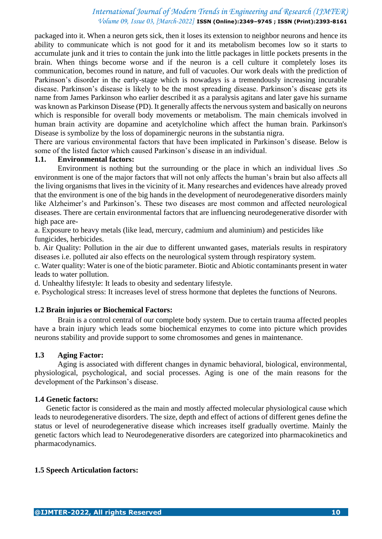packaged into it. When a neuron gets sick, then it loses its extension to neighbor neurons and hence its ability to communicate which is not good for it and its metabolism becomes low so it starts to accumulate junk and it tries to contain the junk into the little packages in little pockets presents in the brain. When things become worse and if the neuron is a cell culture it completely loses its communication, becomes round in nature, and full of vacuoles. Our work deals with the prediction of Parkinson's disorder in the early-stage which is nowadays is a tremendously increasing incurable disease. Parkinson's disease is likely to be the most spreading disease. Parkinson's disease gets its name from James Parkinson who earlier described it as a paralysis agitans and later gave his surname was known as Parkinson Disease (PD). It generally affects the nervous system and basically on neurons which is responsible for overall body movements or metabolism. The main chemicals involved in human brain activity are dopamine and acetylcholine which affect the human brain. Parkinson's Disease is symbolize by the loss of dopaminergic neurons in the substantia nigra.

There are various environmental factors that have been implicated in Parkinson's disease. Below is some of the listed factor which caused Parkinson's disease in an individual.

#### **1.1. Environmental factors:**

Environment is nothing but the surrounding or the place in which an individual lives .So environment is one of the major factors that will not only affects the human's brain but also affects all the living organisms that lives in the vicinity of it. Many researches and evidences have already proved that the environment is one of the big hands in the development of neurodegenerative disorders mainly like Alzheimer's and Parkinson's. These two diseases are most common and affected neurological diseases. There are certain environmental factors that are influencing neurodegenerative disorder with high pace are-

a. Exposure to heavy metals (like lead, mercury, cadmium and aluminium) and pesticides like fungicides, herbicides.

b. Air Quality: Pollution in the air due to different unwanted gases, materials results in respiratory diseases i.e. polluted air also effects on the neurological system through respiratory system.

c. Water quality: Water is one of the biotic parameter. Biotic and Abiotic contaminants present in water leads to water pollution.

d. Unhealthy lifestyle: It leads to obesity and sedentary lifestyle.

e. Psychological stress: It increases level of stress hormone that depletes the functions of Neurons.

#### **1.2 Brain injuries or Biochemical Factors:**

Brain is a control central of our complete body system. Due to certain trauma affected peoples have a brain injury which leads some biochemical enzymes to come into picture which provides neurons stability and provide support to some chromosomes and genes in maintenance.

#### **1.3 Aging Factor:**

Aging is associated with different changes in dynamic behavioral, biological, environmental, physiological, psychological, and social processes. Aging is one of the main reasons for the development of the Parkinson's disease.

#### **1.4 Genetic factors:**

Genetic factor is considered as the main and mostly affected molecular physiological cause which leads to neurodegenerative disorders. The size, depth and effect of actions of different genes define the status or level of neurodegenerative disease which increases itself gradually overtime. Mainly the genetic factors which lead to Neurodegenerative disorders are categorized into pharmacokinetics and pharmacodynamics.

#### **1.5 Speech Articulation factors:**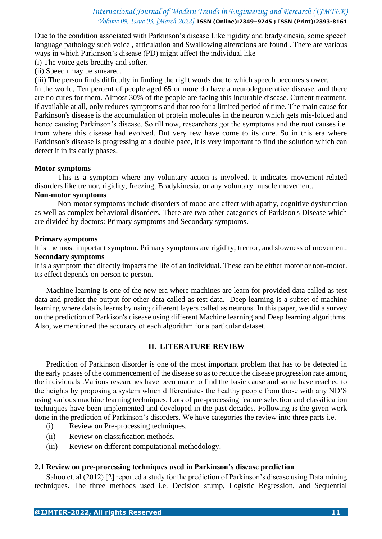Due to the condition associated with Parkinson's disease Like rigidity and bradykinesia, some speech language pathology such voice , articulation and Swallowing alterations are found . There are various ways in which Parkinson's disease (PD) might affect the individual like-

- (i) The voice gets breathy and softer.
- (ii) Speech may be smeared.

(iii) The person finds difficulty in finding the right words due to which speech becomes slower.

In the world, Ten percent of people aged 65 or more do have a neurodegenerative disease, and there are no cures for them. Almost 30% of the people are facing this incurable disease. Current treatment, if available at all, only reduces symptoms and that too for a limited period of time. The main cause for Parkinson's disease is the accumulation of protein molecules in the neuron which gets mis-folded and hence causing Parkinson's disease. So till now, researchers got the symptoms and the root causes i.e. from where this disease had evolved. But very few have come to its cure. So in this era where Parkinson's disease is progressing at a double pace, it is very important to find the solution which can detect it in its early phases.

#### **Motor symptoms**

This is a symptom where any voluntary action is involved. It indicates movement-related disorders like tremor, rigidity, freezing, Bradykinesia, or any voluntary muscle movement.

### **Non-motor symptoms**

Non-motor symptoms include disorders of mood and affect with apathy, cognitive dysfunction as well as complex behavioral disorders. There are two other categories of Parkison's Disease which are divided by doctors: Primary symptoms and Secondary symptoms.

#### **Primary symptoms**

It is the most important symptom. Primary symptoms are rigidity, tremor, and slowness of movement. **Secondary symptoms**

It is a symptom that directly impacts the life of an individual. These can be either motor or non-motor. Its effect depends on person to person.

Machine learning is one of the new era where machines are learn for provided data called as test data and predict the output for other data called as test data. Deep learning is a subset of machine learning where data is learns by using different layers called as neurons. In this paper, we did a survey on the prediction of Parkison's disease using different Machine learning and Deep learning algorithms. Also, we mentioned the accuracy of each algorithm for a particular dataset.

### **II. LITERATURE REVIEW**

Prediction of Parkinson disorder is one of the most important problem that has to be detected in the early phases of the commencement of the disease so as to reduce the disease progression rate among the individuals .Various researches have been made to find the basic cause and some have reached to the heights by proposing a system which differentiates the healthy people from those with any ND'S using various machine learning techniques. Lots of pre-processing feature selection and classification techniques have been implemented and developed in the past decades. Following is the given work done in the prediction of Parkinson's disorders. We have categories the review into three parts i.e.

- (i) Review on Pre-processing techniques.
- (ii) Review on classification methods.
- (iii) Review on different computational methodology.

#### **2.1 Review on pre-processing techniques used in Parkinson's disease prediction**

Sahoo et. al (2012) [2] reported a study for the prediction of Parkinson's disease using Data mining techniques. The three methods used i.e. Decision stump, Logistic Regression, and Sequential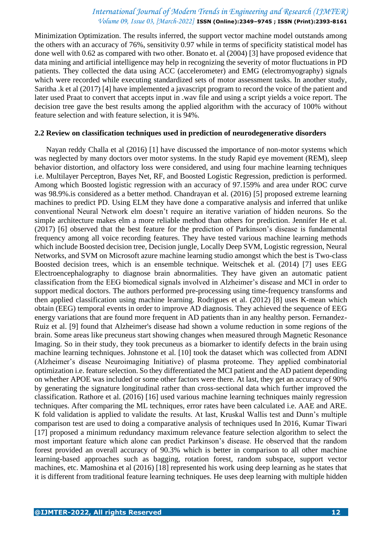Minimization Optimization. The results inferred, the support vector machine model outstands among the others with an accuracy of 76%, sensitivity 0.97 while in terms of specificity statistical model has done well with 0.62 as compared with two other. Bonato et. al (2004) [3] have proposed evidence that data mining and artificial intelligence may help in recognizing the severity of motor fluctuations in PD patients. They collected the data using ACC (accelerometer) and EMG (electromyography) signals which were recorded while executing standardized sets of motor assessment tasks. In another study, Saritha .k et al (2017) [4] have implemented a javascript program to record the voice of the patient and later used Praat to convert that accepts input in .wav file and using a script yields a voice report. The decision tree gave the best results among the applied algorithm with the accuracy of 100% without feature selection and with feature selection, it is 94%.

#### **2.2 Review on classification techniques used in prediction of neurodegenerative disorders**

Nayan reddy Challa et al (2016) [1] have discussed the importance of non-motor systems which was neglected by many doctors over motor systems. In the study Rapid eye movement (REM), sleep behavior distortion, and olfactory loss were considered, and using four machine learning techniques i.e. Multilayer Perceptron, Bayes Net, RF, and Boosted Logistic Regression, prediction is performed. Among which Boosted logistic regression with an accuracy of 97.159% and area under ROC curve was 98.9%.is considered as a better method. Chandrayan et al. (2016) [5] proposed extreme learning machines to predict PD. Using ELM they have done a comparative analysis and inferred that unlike conventional Neural Network elm doesn't require an iterative variation of hidden neurons. So the simple architecture makes elm a more reliable method than others for prediction. Jennifer He et al. (2017) [6] observed that the best feature for the prediction of Parkinson's disease is fundamental frequency among all voice recording features. They have tested various machine learning methods which include Boosted decision tree, Decision jungle, Locally Deep SVM, Logistic regression, Neural Networks, and SVM on Microsoft azure machine learning studio amongst which the best is Two-class Boosted decision trees, which is an ensemble technique. Weitschek et al. (2014) [7] uses EEG Electroencephalography to diagnose brain abnormalities. They have given an automatic patient classification from the EEG biomedical signals involved in Alzheimer's disease and MCI in order to support medical doctors. The authors performed pre-processing using time-frequency transforms and then applied classification using machine learning. Rodrigues et al. (2012) [8] uses K-mean which obtain (EEG) temporal events in order to improve AD diagnosis. They achieved the sequence of EEG energy variations that are found more frequent in AD patients than in any healthy person. Fernandez-Ruiz et al. [9] found that Alzheimer's disease had shown a volume reduction in some regions of the brain. Some areas like precuneus start showing changes when measured through Magnetic Resonance Imaging. So in their study, they took precuneus as a biomarker to identify defects in the brain using machine learning techniques. Johnstone et al. [10] took the dataset which was collected from ADNI (Alzheimer's disease Neuroimaging Initiative) of plasma proteome. They applied combinatorial optimization i.e. feature selection. So they differentiated the MCI patient and the AD patient depending on whether APOE was included or some other factors were there. At last, they get an accuracy of 90% by generating the signature longitudinal rather than cross-sectional data which further improved the classification. Rathore et al. (2016) [16] used various machine learning techniques mainly regression techniques. After comparing the ML techniques, error rates have been calculated i.e. AAE and ARE. K fold validation is applied to validate the results. At last, Kruskal Wallis test and Dunn's multiple comparison test are used to doing a comparative analysis of techniques used In 2016, Kumar Tiwari [17] proposed a minimum redundancy maximum relevance feature selection algorithm to select the most important feature which alone can predict Parkinson's disease. He observed that the random forest provided an overall accuracy of 90.3% which is better in comparison to all other machine learning-based approaches such as bagging, rotation forest, random subspace, support vector machines, etc. Mamoshina et al (2016) [18] represented his work using deep learning as he states that it is different from traditional feature learning techniques. He uses deep learning with multiple hidden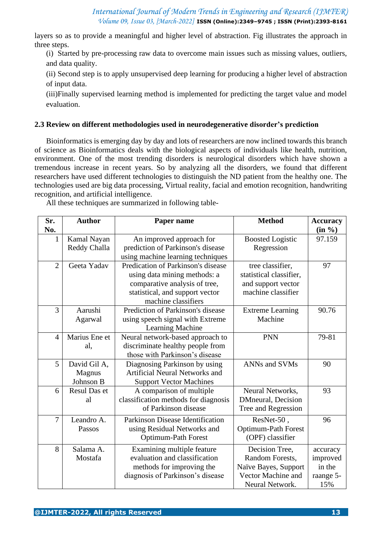layers so as to provide a meaningful and higher level of abstraction. Fig illustrates the approach in three steps.

(i) Started by pre-processing raw data to overcome main issues such as missing values, outliers, and data quality.

(ii) Second step is to apply unsupervised deep learning for producing a higher level of abstraction of input data.

(iii)Finally supervised learning method is implemented for predicting the target value and model evaluation.

### **2.3 Review on different methodologies used in neurodegenerative disorder's prediction**

Bioinformatics is emerging day by day and lots of researchers are now inclined towards this branch of science as Bioinformatics deals with the biological aspects of individuals like health, nutrition, environment. One of the most trending disorders is neurological disorders which have shown a tremendous increase in recent years. So by analyzing all the disorders, we found that different researchers have used different technologies to distinguish the ND patient from the healthy one. The technologies used are big data processing, Virtual reality, facial and emotion recognition, handwriting recognition, and artificial intelligence.

All these techniques are summarized in following table-

| Sr.            | <b>Author</b>       | Paper name                            | <b>Method</b>              | <b>Accuracy</b> |
|----------------|---------------------|---------------------------------------|----------------------------|-----------------|
| No.            |                     |                                       |                            | (in %)          |
| 1              | Kamal Nayan         | An improved approach for              | <b>Boosted Logistic</b>    | 97.159          |
|                | Reddy Challa        | prediction of Parkinson's disease     | Regression                 |                 |
|                |                     | using machine learning techniques     |                            |                 |
| $\overline{2}$ | Geeta Yadav         | Predication of Parkinson's disease    | tree classifier,           | 97              |
|                |                     | using data mining methods: a          | statistical classifier,    |                 |
|                |                     | comparative analysis of tree,         | and support vector         |                 |
|                |                     | statistical, and support vector       | machine classifier         |                 |
|                |                     | machine classifiers                   |                            |                 |
| 3              | Aarushi             | Prediction of Parkinson's disease     | <b>Extreme Learning</b>    | 90.76           |
|                | Agarwal             | using speech signal with Extreme      | Machine                    |                 |
|                |                     | <b>Learning Machine</b>               |                            |                 |
| $\overline{4}$ | Marius Ene et       | Neural network-based approach to      | <b>PNN</b>                 | 79-81           |
|                | al,                 | discriminate healthy people from      |                            |                 |
|                |                     | those with Parkinson's disease        |                            |                 |
| 5              | David Gil A,        | Diagnosing Parkinson by using         | ANNs and SVMs              | 90              |
|                | Magnus              | <b>Artificial Neural Networks and</b> |                            |                 |
|                | Johnson B           | <b>Support Vector Machines</b>        |                            |                 |
| 6              | <b>Resul Das et</b> | A comparison of multiple              | Neural Networks,           | 93              |
|                | al                  | classification methods for diagnosis  | DMneural, Decision         |                 |
|                |                     | of Parkinson disease                  | Tree and Regression        |                 |
| $\overline{7}$ | Leandro A.          | Parkinson Disease Identification      | ResNet-50,                 | 96              |
|                | Passos              | using Residual Networks and           | <b>Optimum-Path Forest</b> |                 |
|                |                     | <b>Optimum-Path Forest</b>            | (OPF) classifier           |                 |
| 8              | Salama A.           | Examining multiple feature            | Decision Tree,             | accuracy        |
|                | Mostafa             | evaluation and classification         | Random Forests,            | improved        |
|                |                     | methods for improving the             | Naïve Bayes, Support       | in the          |
|                |                     | diagnosis of Parkinson's disease      | Vector Machine and         | raange 5-       |
|                |                     |                                       | Neural Network.            | 15%             |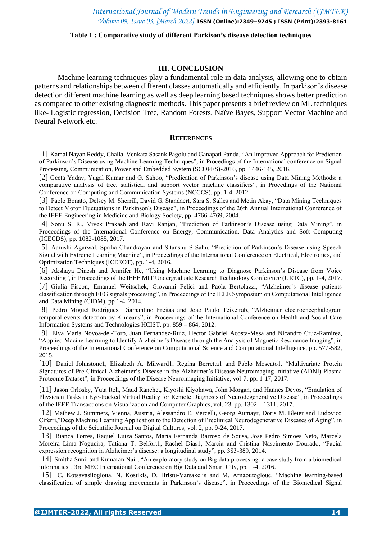#### **Table 1 : Comparative study of different Parkison's disease detection techniques**

#### **III. CONCLUSION**

Machine learning techniques play a fundamental role in data analysis, allowing one to obtain patterns and relationships between different classes automatically and efficiently. In parkison's disease detection different machine learning as well as deep learning based techniques shows better prediction as compared to other existing diagnostic methods. This paper presents a brief review on ML techniques like- Logistic regression, Decision Tree, Random Forests, Naïve Bayes, Support Vector Machine and Neural Network etc.

#### **REFERENCES**

[1] Kamal Nayan Reddy, Challa, Venkata Sasank Pagolu and Ganapati Panda, "An Improved Approach for Prediction of Parkinson's Disease using Machine Learning Techniques", in Procedings of the International conference on Signal Processing, Communication, Power and Embedded System (SCOPES)-2016, pp. 1446-145, 2016.

[2] Geeta Yadav, Yugal Kumar and G. Sahoo, "Predication of Parkinson's disease using Data Mining Methods: a comparative analysis of tree, statistical and support vector machine classifiers", in Procedings of the National Conference on Computing and Communication Systems (NCCCS), pp. 1-4, 2012.

[3] Paolo Bonato, Delsey M. Sherrill, David G. Standaert, Sara S. Salles and Metin Akay, "Data Mining Techniques to Detect Motor Fluctuations in Parkinson's Disease", in Proceedings of the 26th Annual International Conference of the IEEE Engineering in Medicine and Biology Society, pp. 4766-4769, 2004.

[4] Sonu S. R., Vivek Prakash and Ravi Ranjan, "Prediction of Parkinson's Disease using Data Mining", in Proceedings of the International Conference on Energy, Communication, Data Analytics and Soft Computing (ICECDS), pp. 1082-1085, 2017.

[5] Aarushi Agarwal, Spriha Chandrayan and Sitanshu S Sahu, "Prediction of Parkinson's Disease using Speech Signal with Extreme Learning Machine", in Proceedings of the International Conference on Electrical, Electronics, and Optimization Techniques (ICEEOT), pp. 1-4, 2016.

[6] Akshaya Dinesh and Jennifer He, "Using Machine Learning to Diagnose Parkinson's Disease from Voice Recording", in Proceedings of the IEEE MIT Undergraduate Research Technology Conference (URTC), pp. 1-4, 2017.

[7] Giulia Fiscon, Emanuel Weitschek, Giovanni Felici and Paola Bertolazzi, "Alzheimer's disease patients classification through EEG signals processing", in Proceedings of the IEEE Symposium on Computational Intelligence and Data Mining (CIDM). pp 1-4, 2014.

[8] Pedro Miguel Rodrigues, Diamantino Freitas and Joao Paulo Teixeirab, "Alzheimer electroencephalogram temporal events detection by K-means", in Proceedings of the International Conference on Health and Social Care Information Systems and Technologies HCIST. pp. 859 – 864, 2012.

[9] Elva Maria Novoa-del-Toro, Juan Fernandez-Ruiz, Hector Gabriel Acosta-Mesa and Nicandro Cruz-Ramirez, "Applied Macine Learning to Identify Alzheimer's Disease through the Analysis of Magnetic Resonance Imaging", in Proceedings of the International Conference on Computational Science and Computational Intelligence, pp. 577-582, 2015.

[10] Daniel Johnstone1, Elizabeth A. Milward1, Regina Berretta1 and Pablo Moscato1, "Multivariate Protein Signatures of Pre-Clinical Alzheimer's Disease in the Alzheimer's Disease Neuroimaging Initiative (ADNI) Plasma Proteome Dataset", in Proceedings of the Disease Neuroimaging Initiative, vol-7, pp. 1-17, 2017.

[11] Jason Orlosky, Yuta Itoh, Maud Ranchet, Kiyoshi Kiyokawa, John Morgan, and Hannes Devos, "Emulation of Physician Tasks in Eye-tracked Virtual Reality for Remote Diagnosis of Neurodegenerative Disease", in Proceedings of the IEEE Transactions on Visualization and Computer Graphics, vol. 23, pp. 1302 – 1311, 2017.

[12] Mathew J. Summers, Vienna, Austria, Alessandro E. Vercelli, Georg Aumayr, Doris M. Bleier and Ludovico Ciferri,"Deep Machine Learning Application to the Detection of Preclinical Neurodegenerative Diseases of Aging", in Proceedings of the Scientific Journal on Digital Cultures, vol. 2, pp. 9-24, 2017.

[13] Bianca Torres, Raquel Luiza Santos, Maria Fernanda Barroso de Sousa, Jose Pedro Simoes Neto, Marcela Moreira Lima Nogueira, Tatiana T. Belfort1, Rachel Dias1, Marcia and Cristina Nascimento Dourado, "Facial expression recognition in Alzheimer's disease: a longitudinal study", pp. 383-389, 2014.

[14] Smitha Sunil and Kumaran Nair, "An exploratory study on Big data processing: a case study from a biomedical informatics", 3rd MEC International Conference on Big Data and Smart City, pp. 1-4, 2016.

[15] C. Kotsavasilogloua, N. Kostikis, D. Hristu-Varsakelis and M. Arnaoutoglouc, "Machine learning-based classification of simple drawing movements in Parkinson's disease", in Proceedings of the Biomedical Signal